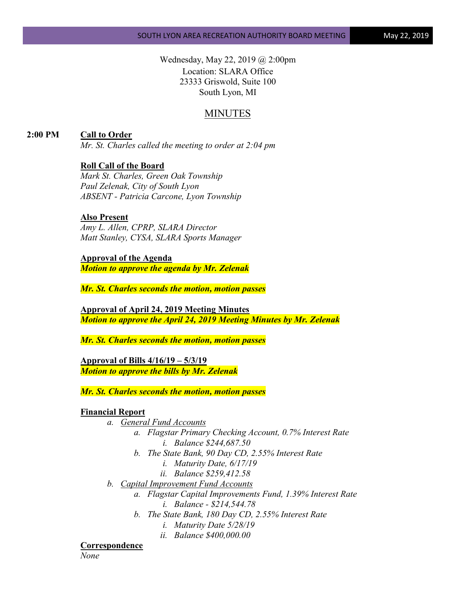Wednesday, May 22, 2019 @ 2:00pm Location: SLARA Office 23333 Griswold, Suite 100 South Lyon, MI

## MINUTES

**2:00 PM Call to Order**

*Mr. St. Charles called the meeting to order at 2:04 pm*

#### **Roll Call of the Board**

*Mark St. Charles, Green Oak Township Paul Zelenak, City of South Lyon ABSENT - Patricia Carcone, Lyon Township*

## **Also Present**

*Amy L. Allen, CPRP, SLARA Director Matt Stanley, CYSA, SLARA Sports Manager*

#### **Approval of the Agenda**

*Motion to approve the agenda by Mr. Zelenak*

*Mr. St. Charles seconds the motion, motion passes*

**Approval of April 24, 2019 Meeting Minutes** *Motion to approve the April 24, 2019 Meeting Minutes by Mr. Zelenak*

*Mr. St. Charles seconds the motion, motion passes*

**Approval of Bills 4/16/19 – 5/3/19** *Motion to approve the bills by Mr. Zelenak*

*Mr. St. Charles seconds the motion, motion passes*

#### **Financial Report**

- *a. General Fund Accounts*
	- *a. Flagstar Primary Checking Account, 0.7% Interest Rate i. Balance \$244,687.50*
	- *b. The State Bank, 90 Day CD, 2.55% Interest Rate*
		- *i. Maturity Date, 6/17/19*
		- *ii. Balance \$259,412.58*
- *b. Capital Improvement Fund Accounts*
	- *a. Flagstar Capital Improvements Fund, 1.39% Interest Rate i. Balance - \$214,544.78*
	- *b. The State Bank, 180 Day CD, 2.55% Interest Rate*
		- *i. Maturity Date 5/28/19*
		- *ii. Balance \$400,000.00*

#### **Correspondence**

*None*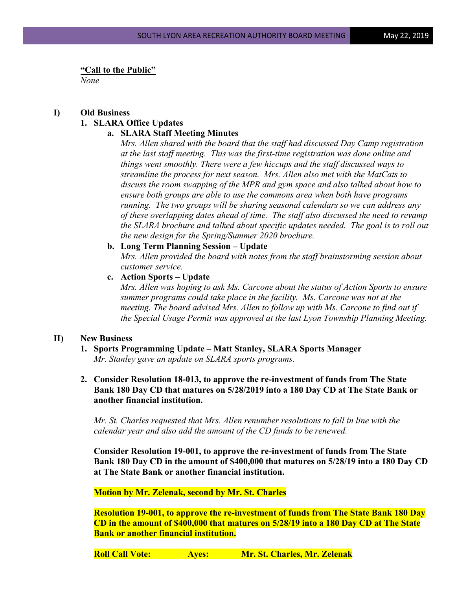**"Call to the Public"**

*None*

# **I) Old Business 1. SLARA Office Updates**

## **a. SLARA Staff Meeting Minutes**

*Mrs. Allen shared with the board that the staff had discussed Day Camp registration at the last staff meeting. This was the first-time registration was done online and things went smoothly. There were a few hiccups and the staff discussed ways to streamline the process for next season. Mrs. Allen also met with the MatCats to discuss the room swapping of the MPR and gym space and also talked about how to ensure both groups are able to use the commons area when both have programs running. The two groups will be sharing seasonal calendars so we can address any of these overlapping dates ahead of time. The staff also discussed the need to revamp the SLARA brochure and talked about specific updates needed. The goal is to roll out the new design for the Spring/Summer 2020 brochure.*

#### **b. Long Term Planning Session – Update**

*Mrs. Allen provided the board with notes from the staff brainstorming session about customer service.*

## **c. Action Sports – Update**

*Mrs. Allen was hoping to ask Ms. Carcone about the status of Action Sports to ensure summer programs could take place in the facility. Ms. Carcone was not at the meeting. The board advised Mrs. Allen to follow up with Ms. Carcone to find out if the Special Usage Permit was approved at the last Lyon Township Planning Meeting.*

## **II) New Business**

- **1. Sports Programming Update – Matt Stanley, SLARA Sports Manager** *Mr. Stanley gave an update on SLARA sports programs.*
- **2. Consider Resolution 18-013, to approve the re-investment of funds from The State Bank 180 Day CD that matures on 5/28/2019 into a 180 Day CD at The State Bank or another financial institution.**

*Mr. St. Charles requested that Mrs. Allen renumber resolutions to fall in line with the calendar year and also add the amount of the CD funds to be renewed.*

**Consider Resolution 19-001, to approve the re-investment of funds from The State Bank 180 Day CD in the amount of \$400,000 that matures on 5/28/19 into a 180 Day CD at The State Bank or another financial institution.**

## **Motion by Mr. Zelenak, second by Mr. St. Charles**

**Resolution 19-001, to approve the re-investment of funds from The State Bank 180 Day CD in the amount of \$400,000 that matures on 5/28/19 into a 180 Day CD at The State Bank or another financial institution.**

**Roll Call Vote: Ayes: Mr. St. Charles, Mr. Zelenak**